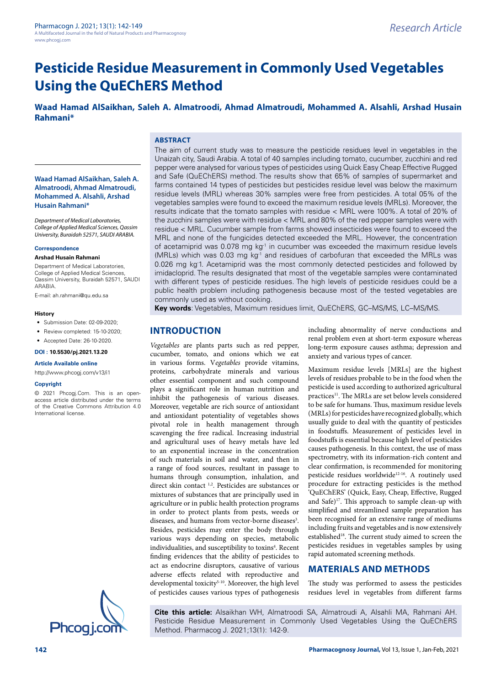# **Pesticide Residue Measurement in Commonly Used Vegetables Using the QuEChERS Method**

**Waad Hamad AlSaikhan, Saleh A. Almatroodi, Ahmad Almatroudi, Mohammed A. Alsahli, Arshad Husain Rahmani\***

## **ABSTRACT**

**Waad Hamad AlSaikhan, Saleh A. Almatroodi, Ahmad Almatroudi, Mohammed A. Alsahli, Arshad Husain Rahmani\***

*Department of Medical Laboratories, College of Applied Medical Sciences, Qassim University, Buraidah 52571, SAUDI ARABIA.*

#### **Correspondence**

#### **Arshad Husain Rahmani**

Department of Medical Laboratories, College of Applied Medical Sciences, Qassim University, Buraidah 52571, SAUDI **ARARIA** 

E-mail: [ah.rahmani@qu.edu.sa](mailto:ah.rahmani@qu.edu.sa)

#### **History**

- Submission Date: 02-09-2020;
- Review completed: 15-10-2020;
- Accepted Date: 26-10-2020.

**DOI : 10.5530/pj.2021.13.20**

#### **Article Available online**

<http://www.phcogj.com/v13/i1>

#### **Copyright**

© 2021 Phcogj.Com. This is an openaccess article distributed under the terms of the Creative Commons Attribution 4.0 International license.



The aim of current study was to measure the pesticide residues level in vegetables in the Unaizah city, Saudi Arabia. A total of 40 samples including tomato, cucumber, zucchini and red pepper were analysed for various types of pesticides using Quick Easy Cheap Effective Rugged and Safe (QuEChERS) method. The results show that 65% of samples of supermarket and farms contained 14 types of pesticides but pesticides residue level was below the maximum residue levels (MRL) whereas 30% samples were free from pesticides. A total 05% of the vegetables samples were found to exceed the maximum residue levels (MRLs). Moreover, the results indicate that the tomato samples with residue < MRL were 100%. A total of 20% of the zucchini samples were with residue < MRL and 80% of the red pepper samples were with residue < MRL. Cucumber sample from farms showed insecticides were found to exceed the MRL and none of the fungicides detected exceeded the MRL. However, the concentration of acetamiprid was  $0.078$  mg kg<sup>-1</sup> in cucumber was exceeded the maximum residue levels (MRLs) which was 0.03 mg kg-1 and residues of carbofuran that exceeded the MRLs was 0.026 mg kg<sup>-1</sup>. Acetamiprid was the most commonly detected pesticides and followed by imidacloprid. The results designated that most of the vegetable samples were contaminated with different types of pesticide residues. The high levels of pesticide residues could be a public health problem including pathogenesis because most of the tested vegetables are commonly used as without cooking.

**Key words**: Vegetables, Maximum residues limit, QuEChERS, GC–MS/MS, LC–MS/MS.

## **INTRODUCTION**

*Vegetables* are plants parts such as red pepper, cucumber, tomato, and onions which we eat in various forms. V*egetables* provide vitamins, proteins, carbohydrate minerals and various other essential component and such compound plays a significant role in human nutrition and inhibit the pathogenesis of various diseases. Moreover, vegetable are rich source of antioxidant and antioxidant potentiality of vegetables shows pivotal role in health management through scavenging the free radical. Increasing industrial and agricultural uses of heavy metals have led to an exponential increase in the concentration of such materials in soil and water, and then in a range of food sources, resultant in passage to humans through consumption, inhalation, and direct skin contact <sup>1,2</sup>. Pesticides are substances or mixtures of substances that are principally used in agriculture or in public health protection programs in order to protect plants from pests, weeds or diseases, and humans from vector-borne diseases<sup>3</sup>. Besides, pesticides may enter the body through various ways depending on species, metabolic individualities, and susceptibility to toxins<sup>4</sup>. Recent finding evidences that the ability of pesticides to act as endocrine disruptors, causative of various adverse effects related with reproductive and developmental toxicity<sup>5-10</sup>. Moreover, the high level of pesticides causes various types of pathogenesis including abnormality of nerve conductions and renal problem even at short-term exposure whereas long-term exposure causes asthma; depression and anxiety and various types of cancer.

Maximum residue levels [MRLs] are the highest levels of residues probable to be in the food when the pesticide is used according to authorized agricultural practices<sup>11</sup>. The MRLs are set below levels considered to be safe for humans. Thus, maximum residue levels (MRLs) for pesticides have recognized globally, which usually guide to deal with the quantity of pesticides in foodstuffs. Measurement of pesticides level in foodstuffs is essential because high level of pesticides causes pathogenesis. In this context, the use of mass spectrometry, with its information-rich content and clear confirmation, is recommended for monitoring pesticide residues worldwide<sup>12-16</sup>. A routinely used procedure for extracting pesticides is the method 'QuEChERS' (Quick, Easy, Cheap, Effective, Rugged and Safe)<sup>17</sup>. This approach to sample clean-up with simplified and streamlined sample preparation has been recognised for an extensive range of mediums including fruits and vegetables and is now extensively established<sup>18</sup>. The current study aimed to screen the pesticides residues in vegetables samples by using rapid automated screening methods.

# **MATERIALS AND METHODS**

The study was performed to assess the pesticides residues level in vegetables from different farms

**Cite this article:** Alsaikhan WH, Almatroodi SA, Almatroudi A, Alsahli MA, Rahmani AH. Pesticide Residue Measurement in Commonly Used Vegetables Using the QuEChERS Method. Pharmacog J. 2021;13(1): 142-9.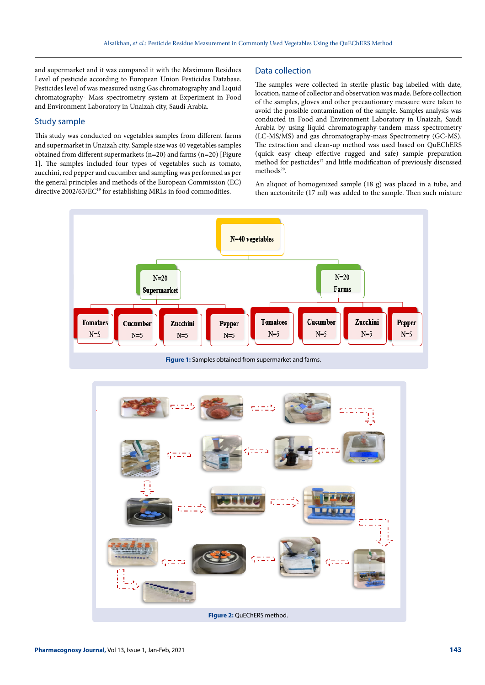and supermarket and it was compared it with the Maximum Residues Level of pesticide according to European Union Pesticides Database. Pesticides level of was measured using Gas chromatography and Liquid chromatography- Mass spectrometry system at Experiment in Food and Environment Laboratory in Unaizah city, Saudi Arabia.

## Study sample

This study was conducted on vegetables samples from different farms and supermarket in Unaizah city. Sample size was 40 vegetables samples obtained from different supermarkets (n=20) and farms (n=20) [Figure 1]. The samples included four types of vegetables such as tomato, zucchini, red pepper and cucumber and sampling was performed as per the general principles and methods of the European Commission (EC) directive 2002/63/EC<sup>19</sup> for establishing MRLs in food commodities.

#### Data collection

The samples were collected in sterile plastic bag labelled with date, location, name of collector and observation was made. Before collection of the samples, gloves and other precautionary measure were taken to avoid the possible contamination of the sample. Samples analysis was conducted in Food and Environment Laboratory in Unaizah, Saudi Arabia by using liquid chromatography-tandem mass spectrometry (LC-MS/MS) and gas chromatography-mass Spectrometry (GC-MS). The extraction and clean-up method was used based on QuEChERS (quick easy cheap effective rugged and safe) sample preparation method for pesticides<sup>17</sup> and little modification of previously discussed methods<sup>20</sup>.

An aliquot of homogenized sample (18 g) was placed in a tube, and then acetonitrile (17 ml) was added to the sample. Then such mixture



**Figure 1:** Samples obtained from supermarket and farms.

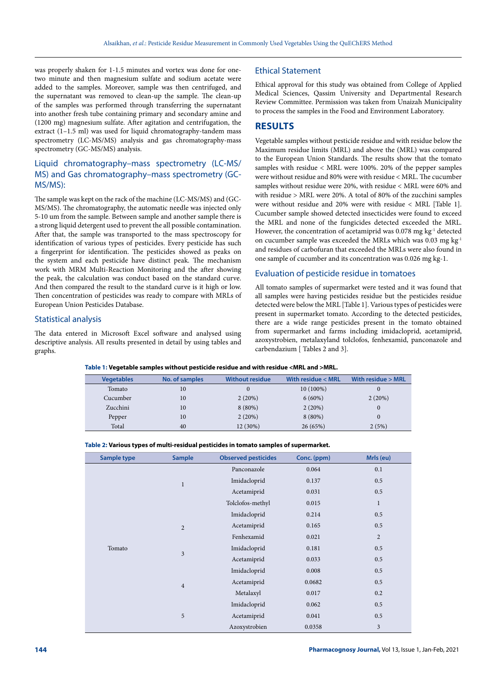was properly shaken for 1-1.5 minutes and vortex was done for onetwo minute and then magnesium sulfate and sodium acetate were added to the samples. Moreover, sample was then centrifuged, and the supernatant was removed to clean-up the sample. The clean-up of the samples was performed through transferring the supernatant into another fresh tube containing primary and secondary amine and (1200 mg) magnesium sulfate. After agitation and centrifugation, the extract (1–1.5 ml) was used for liquid chromatography-tandem mass spectrometry (LC-MS/MS) analysis and gas chromatography-mass spectrometry (GC-MS/MS) analysis.

# Liquid chromatography–mass spectrometry (LC-MS/ MS) and Gas chromatography–mass spectrometry (GC-MS/MS):

The sample was kept on the rack of the machine (LC-MS/MS) and (GC-MS/MS). The chromatography, the automatic needle was injected only 5-10 um from the sample. Between sample and another sample there is a strong liquid detergent used to prevent the all possible contamination. After that, the sample was transported to the mass spectroscopy for identification of various types of pesticides. Every pesticide has such a fingerprint for identification. The pesticides showed as peaks on the system and each pesticide have distinct peak. The mechanism work with MRM Multi-Reaction Monitoring and the after showing the peak, the calculation was conduct based on the standard curve. And then compared the result to the standard curve is it high or low. Then concentration of pesticides was ready to compare with MRLs of European Union Pesticides Database.

## Statistical analysis

The data entered in Microsoft Excel software and analysed using descriptive analysis. All results presented in detail by using tables and graphs.

## Ethical Statement

Ethical approval for this study was obtained from College of Applied Medical Sciences, Qassim University and Departmental Research Review Committee. Permission was taken from Unaizah Municipality to process the samples in the Food and Environment Laboratory.

# **RESULTS**

Vegetable samples without pesticide residue and with residue below the Maximum residue limits (MRL) and above the (MRL) was compared to the European Union Standards. The results show that the tomato samples with residue < MRL were 100%. 20% of the pepper samples were without residue and 80% were with residue < MRL. The cucumber samples without residue were 20%, with residue < MRL were 60% and with residue > MRL were 20%. A total of 80% of the zucchini samples were without residue and 20% were with residue < MRL [Table 1]. Cucumber sample showed detected insecticides were found to exceed the MRL and none of the fungicides detected exceeded the MRL. However, the concentration of acetamiprid was 0.078 mg kg<sup>-1</sup> detected on cucumber sample was exceeded the MRLs which was 0.03 mg kg-1 and residues of carbofuran that exceeded the MRLs were also found in one sample of cucumber and its concentration was 0.026 mg kg-1.

## Evaluation of pesticide residue in tomatoes

All tomato samples of supermarket were tested and it was found that all samples were having pesticides residue but the pesticides residue detected were below the MRL [Table 1]. Various types of pesticides were present in supermarket tomato. According to the detected pesticides, there are a wide range pesticides present in the tomato obtained from supermarket and farms including imidacloprid, acetamiprid, azoxystrobien, metalaxyland tolclofos, fenhexamid, panconazole and carbendazium [ Tables 2 and 3].

|  |  |  | Table 1: Vegetable samples without pesticide residue and with residue <mrl and="">MRL.</mrl> |
|--|--|--|----------------------------------------------------------------------------------------------|
|  |  |  |                                                                                              |

| <b>Vegetables</b> | No. of samples | <b>Without residue</b> | With residue < MRL | With residue > MRL |
|-------------------|----------------|------------------------|--------------------|--------------------|
| Tomato            | 10             |                        | $10(100\%)$        |                    |
| Cucumber          | 10             | 2(20%)                 | $6(60\%)$          | 2(20%)             |
| Zucchini          | 10             | $8(80\%)$              | 2(20%)             | $\mathbf{0}$       |
| Pepper            | 10             | 2(20%)                 | $8(80\%)$          | $\Omega$           |
| Total             | 40             | 12 (30%)               | 26(65%)            | 2(5%)              |

| Table 2: Various types of multi-residual pesticides in tomato samples of supermarket. |  |  |
|---------------------------------------------------------------------------------------|--|--|
|---------------------------------------------------------------------------------------|--|--|

| Sample type | <b>Sample</b>  | <b>Observed pesticides</b> | Conc. (ppm) | Mrls (eu)    |
|-------------|----------------|----------------------------|-------------|--------------|
|             |                | Panconazole                | 0.064       | 0.1          |
|             | $\mathbf{1}$   | Imidacloprid               | 0.137       | 0.5          |
|             |                | Acetamiprid                | 0.031       | 0.5          |
|             |                | Tolclofos-methyl           | 0.015       | $\mathbf{1}$ |
|             |                | Imidacloprid               | 0.214       | 0.5          |
|             | $\overline{2}$ | Acetamiprid                | 0.165       | 0.5          |
|             |                | Fenhexamid                 | 0.021       | $\sqrt{2}$   |
| Tomato      | $\overline{3}$ | Imidacloprid               | 0.181       | 0.5          |
|             |                | Acetamiprid                | 0.033       | 0.5          |
|             |                | Imidacloprid               | 0.008       | 0.5          |
|             | $\overline{4}$ | Acetamiprid                | 0.0682      | 0.5          |
|             |                | Metalaxyl                  | 0.017       | 0.2          |
|             |                | Imidacloprid               | 0.062       | 0.5          |
|             | 5              | Acetamiprid                | 0.041       | 0.5          |
|             |                | Azoxystrobien              | 0.0358      | 3            |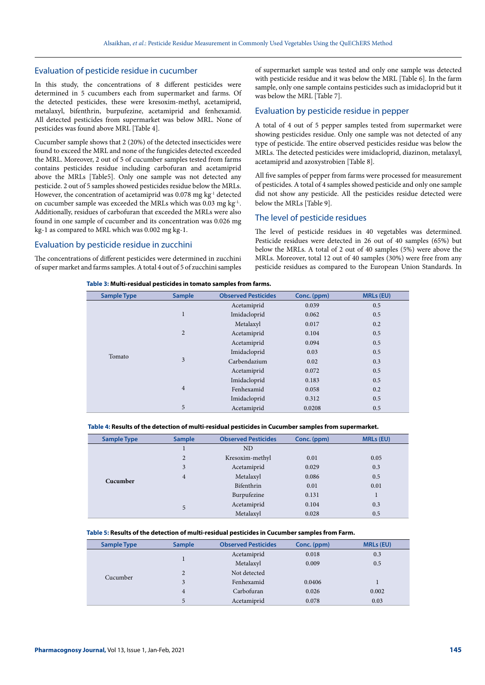#### Evaluation of pesticide residue in cucumber

In this study, the concentrations of 8 different pesticides were determined in 5 cucumbers each from supermarket and farms. Of the detected pesticides, these were kresoxim-methyl, acetamiprid, metalaxyl, bifenthrin, burpufezine, acetamiprid and fenhexamid. All detected pesticides from supermarket was below MRL. None of pesticides was found above MRL [Table 4].

Cucumber sample shows that 2 (20%) of the detected insecticides were found to exceed the MRL and none of the fungicides detected exceeded the MRL. Moreover, 2 out of 5 of cucumber samples tested from farms contains pesticides residue including carbofuran and acetamiprid above the MRLs [Table5]. Only one sample was not detected any pesticide. 2 out of 5 samples showed pesticides residue below the MRLs. However, the concentration of acetamiprid was  $0.078$  mg kg<sup>-1</sup> detected on cucumber sample was exceeded the MRLs which was  $0.03$  mg kg<sup>-1</sup>. Additionally, residues of carbofuran that exceeded the MRLs were also found in one sample of cucumber and its concentration was 0.026 mg kg-1 as compared to MRL which was 0.002 mg kg-1.

# Evaluation by pesticide residue in zucchini

The concentrations of different pesticides were determined in zucchini of super market and farms samples. A total 4 out of 5 of zucchini samples of supermarket sample was tested and only one sample was detected with pesticide residue and it was below the MRL [Table 6]. In the farm sample, only one sample contains pesticides such as imidacloprid but it was below the MRL [Table 7].

## Evaluation by pesticide residue in pepper

A total of 4 out of 5 pepper samples tested from supermarket were showing pesticides residue. Only one sample was not detected of any type of pesticide. The entire observed pesticides residue was below the MRLs. The detected pesticides were imidacloprid, diazinon, metalaxyl, acetamiprid and azoxystrobien [Table 8].

All five samples of pepper from farms were processed for measurement of pesticides. A total of 4 samples showed pesticide and only one sample did not show any pesticide. All the pesticides residue detected were below the MRLs [Table 9].

# The level of pesticide residues

The level of pesticide residues in 40 vegetables was determined. Pesticide residues were detected in 26 out of 40 samples (65%) but below the MRLs. A total of 2 out of 40 samples (5%) were above the MRLs. Moreover, total 12 out of 40 samples (30%) were free from any pesticide residues as compared to the European Union Standards. In

#### **Table 3: Multi-residual pesticides in tomato samples from farms.**

| <b>Sample Type</b> | <b>Sample</b>  | <b>Observed Pesticides</b> | Conc. (ppm) | <b>MRLs (EU)</b> |
|--------------------|----------------|----------------------------|-------------|------------------|
|                    |                | Acetamiprid                | 0.039       | 0.5              |
|                    | $\mathbf{1}$   | Imidacloprid               | 0.062       | 0.5              |
|                    |                | Metalaxyl                  | 0.017       | 0.2              |
|                    | $\overline{2}$ | Acetamiprid                | 0.104       | 0.5              |
|                    | 3              | Acetamiprid                | 0.094       | 0.5              |
| Tomato             |                | Imidacloprid               | 0.03        | 0.5              |
|                    |                | Carbendazium               | 0.02        | 0.3              |
|                    |                | Acetamiprid                | 0.072       | 0.5              |
|                    |                | Imidacloprid               | 0.183       | 0.5              |
|                    | $\overline{4}$ | Fenhexamid                 | 0.058       | 0.2              |
|                    |                | Imidacloprid               | 0.312       | 0.5              |
|                    | 5              | Acetamiprid                | 0.0208      | 0.5              |

#### **Table 4: Results of the detection of multi-residual pesticides in Cucumber samples from supermarket.**

| <b>Sample Type</b> | <b>Sample</b>  | <b>Observed Pesticides</b> | Conc. (ppm) | <b>MRLs (EU)</b> |
|--------------------|----------------|----------------------------|-------------|------------------|
|                    | $\mathbf{I}$   | N <sub>D</sub>             |             |                  |
|                    | $\overline{2}$ | Kresoxim-methyl            | 0.01        | 0.05             |
|                    | 3              | Acetamiprid                | 0.029       | 0.3              |
| Cucumber           | $\overline{4}$ | Metalaxyl                  | 0.086       | 0.5              |
|                    |                | Bifenthrin                 | 0.01        | 0.01             |
|                    |                | Burpufezine                | 0.131       | $\mathbf{1}$     |
|                    | 5              | Acetamiprid                | 0.104       | 0.3              |
|                    |                | Metalaxyl                  | 0.028       | 0.5              |

#### **Table 5: Results of the detection of multi-residual pesticides in Cucumber samples from Farm.**

| <b>Sample Type</b> | <b>Sample</b>  | <b>Observed Pesticides</b> | Conc. (ppm) | <b>MRLs (EU)</b> |
|--------------------|----------------|----------------------------|-------------|------------------|
|                    |                | Acetamiprid                | 0.018       | 0.3              |
|                    |                | Metalaxyl                  | 0.009       | 0.5              |
| Cucumber           | $\overline{c}$ | Not detected               |             |                  |
|                    | 3              | Fenhexamid                 | 0.0406      |                  |
|                    | 4              | Carbofuran                 | 0.026       | 0.002            |
|                    | 5              | Acetamiprid                | 0.078       | 0.03             |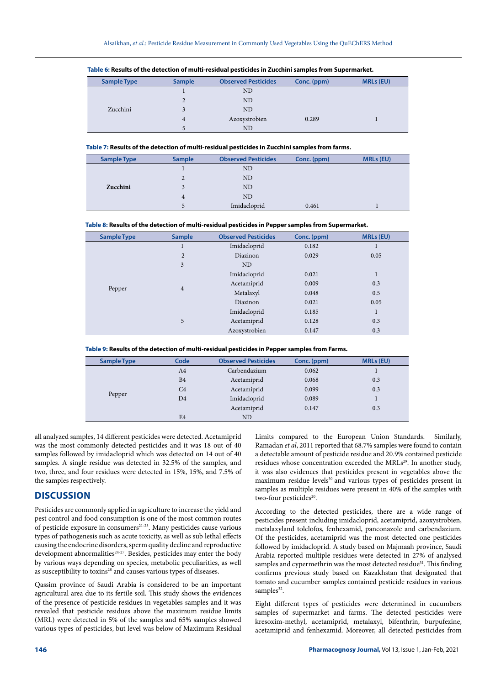| <b>Sample Type</b> | <b>Sample</b> | <b>Observed Pesticides</b> | Conc. (ppm) | <b>MRLs (EU)</b> |
|--------------------|---------------|----------------------------|-------------|------------------|
|                    |               | <b>ND</b>                  |             |                  |
|                    |               | ND                         |             |                  |
| Zucchini           |               | <b>ND</b>                  |             |                  |
|                    | 4             | Azoxystrobien              | 0.289       |                  |
|                    |               | ND                         |             |                  |

**Table 6: Results of the detection of multi-residual pesticides in Zucchini samples from Supermarket.**

**Table 7: Results of the detection of multi-residual pesticides in Zucchini samples from farms.**

| <b>Sample Type</b> | <b>Sample</b> | <b>Observed Pesticides</b> | Conc. (ppm) | <b>MRLs (EU)</b> |
|--------------------|---------------|----------------------------|-------------|------------------|
|                    |               | N <sub>D</sub>             |             |                  |
|                    | 2             | ND                         |             |                  |
| Zucchini           |               | N <sub>D</sub>             |             |                  |
|                    | 4             | N <sub>D</sub>             |             |                  |
|                    | 5             | Imidacloprid               | 0.461       |                  |

**Table 8: Results of the detection of multi-residual pesticides in Pepper samples from Supermarket.**

| <b>Sample Type</b> | <b>Sample</b>       | <b>Observed Pesticides</b> | Conc. (ppm) | <b>MRLs (EU)</b> |
|--------------------|---------------------|----------------------------|-------------|------------------|
|                    | ш                   | Imidacloprid               | 0.182       |                  |
|                    | $\overline{2}$      | Diazinon                   | 0.029       | 0.05             |
|                    | 3                   | <b>ND</b>                  |             |                  |
|                    | $\overline{4}$<br>5 | Imidacloprid               | 0.021       | $\mathbf{1}$     |
|                    |                     | Acetamiprid                | 0.009       | 0.3              |
| Pepper             |                     | Metalaxyl                  | 0.048       | 0.5              |
|                    |                     | Diazinon                   | 0.021       | 0.05             |
|                    |                     | Imidacloprid               | 0.185       | 1                |
|                    |                     | Acetamiprid                | 0.128       | 0.3              |
|                    |                     | Azoxystrobien              | 0.147       | 0.3              |

| Table 9: Results of the detection of multi-residual pesticides in Pepper samples from Farms. |  |  |
|----------------------------------------------------------------------------------------------|--|--|
|----------------------------------------------------------------------------------------------|--|--|

| <b>Sample Type</b> | Code           | <b>Observed Pesticides</b> | Conc. (ppm) | <b>MRLs (EU)</b> |
|--------------------|----------------|----------------------------|-------------|------------------|
|                    | A <sub>4</sub> | Carbendazium               | 0.062       |                  |
|                    | B <sub>4</sub> | Acetamiprid                | 0.068       | 0.3              |
|                    | C <sub>4</sub> | Acetamiprid                | 0.099       | 0.3              |
| Pepper             | D <sub>4</sub> | Imidacloprid               | 0.089       |                  |
|                    |                | Acetamiprid                | 0.147       | 0.3              |
|                    | E <sub>4</sub> | <b>ND</b>                  |             |                  |

all analyzed samples, 14 different pesticides were detected. Acetamiprid was the most commonly detected pesticides and it was 18 out of 40 samples followed by imidacloprid which was detected on 14 out of 40 samples. A single residue was detected in 32.5% of the samples, and two, three, and four residues were detected in 15%, 15%, and 7.5% of the samples respectively.

# **DISCUSSION**

Pesticides are commonly applied in agriculture to increase the yield and pest control and food consumption is one of the most common routes of pesticide exposure in consumers $21-23$ . Many pesticides cause various types of pathogenesis such as acute toxicity, as well as sub lethal effects causing the endocrine disorders, sperm quality decline and reproductive development abnormalities<sup>24-27</sup>. Besides, pesticides may enter the body by various ways depending on species, metabolic peculiarities, as well as susceptibility to toxins<sup>28</sup> and causes various types of diseases.

Qassim province of Saudi Arabia is considered to be an important agricultural area due to its fertile soil. This study shows the evidences of the presence of pesticide residues in vegetables samples and it was revealed that pesticide residues above the maximum residue limits (MRL) were detected in 5% of the samples and 65% samples showed various types of pesticides, but level was below of Maximum Residual Limits compared to the European Union Standards. Similarly, Ramadan *et al*, 2011 reported that 68.7% samples were found to contain a detectable amount of pesticide residue and 20.9% contained pesticide residues whose concentration exceeded the MRLs<sup>29</sup>. In another study, it was also evidences that pesticides present in vegetables above the maximum residue levels<sup>30</sup> and various types of pesticides present in samples as multiple residues were present in 40% of the samples with two-four pesticides<sup>20</sup>.

According to the detected pesticides, there are a wide range of pesticides present including imidacloprid, acetamiprid, azoxystrobien, metalaxyland tolclofos, fenhexamid, panconazole and carbendazium. Of the pesticides, acetamiprid was the most detected one pesticides followed by imidacloprid. A study based on Majmaah province, Saudi Arabia reported multiple residues were detected in 27% of analysed samples and cypermethrin was the most detected residue<sup>31</sup>. This finding confirms previous study based on Kazakhstan that designated that tomato and cucumber samples contained pesticide residues in various samples<sup>32</sup>.

Eight different types of pesticides were determined in cucumbers samples of supermarket and farms. The detected pesticides were kresoxim-methyl, acetamiprid, metalaxyl, bifenthrin, burpufezine, acetamiprid and fenhexamid. Moreover, all detected pesticides from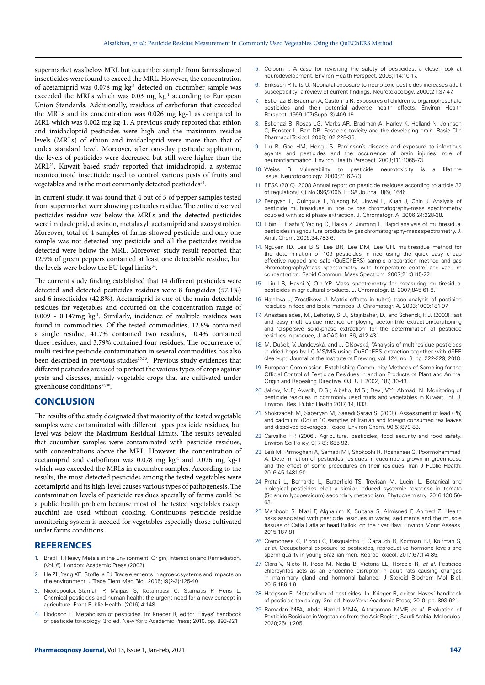supermarket was below MRL but cucumber sample from farms showed insecticides were found to exceed the MRL. However, the concentration of acetamiprid was 0.078 mg kg<sup>-1</sup> detected on cucumber sample was exceeded the MRLs which was 0.03 mg kg<sup>-1</sup> according to European Union Standards. Additionally, residues of carbofuran that exceeded the MRLs and its concentration was 0.026 mg kg-1 as compared to MRL which was 0.002 mg kg-1. A previous study reported that ethion and imidacloprid pesticides were high and the maximum residue levels (MRLs) of ethion and imidacloprid were more than that of codex standard level. Moreover, after one-day pesticide application, the levels of pesticides were decreased but still were higher than the MRL23. Kuwait based study reported that imidaclropid, a systemic neonicotinoid insecticide used to control various pests of fruits and vegetables and is the most commonly detected pesticides<sup>33</sup>.

In current study, it was found that 4 out of 5 of pepper samples tested from supermarket were showing pesticides residue. The entire observed pesticides residue was below the MRLs and the detected pesticides were imidacloprid, diazinon, metalaxyl, acetamiprid and azoxystrobien Moreover, total of 4 samples of farms showed pesticide and only one sample was not detected any pesticide and all the pesticides residue detected were below the MRL. Moreover, study result reported that 12.9% of green peppers contained at least one detectable residue, but the levels were below the EU legal limits<sup>34</sup>.

The current study finding established that 14 different pesticides were detected and detected pesticides residues were 8 fungicides (57.1%) and 6 insecticides (42.8%). Acetamiprid is one of the main detectable residues for vegetables and occurred on the concentration range of 0.009 - 0.147mg kg-1. Similarly, incidence of multiple residues was found in commodities. Of the tested commodities, 12.8% contained a single residue, 41.7% contained two residues, 10.4% contained three residues, and 3.79% contained four residues. The occurrence of multi-residue pesticide contamination in several commodities has also been described in previous studies<sup>35,36</sup>. Previous study evidences that different pesticides are used to protect the various types of crops against pests and diseases, mainly vegetable crops that are cultivated under greenhouse conditions<sup>37,38</sup>.

## **CONCLUSION**

The results of the study designated that majority of the tested vegetable samples were contaminated with different types pesticide residues, but level was below the Maximum Residual Limits. The results revealed that cucumber samples were contaminated with pesticide residues, with concentrations above the MRL. However, the concentration of acetamiprid and carbofuran was 0.078 mg kg-1 and 0.026 mg kg-1 which was exceeded the MRLs in cucumber samples. According to the results, the most detected pesticides among the tested vegetables were acetamiprid and its high-level causes various types of pathogenesis. The contamination levels of pesticide residues specially of farms could be a public health problem because most of the tested vegetables except zucchini are used without cooking. Continuous pesticide residue monitoring system is needed for vegetables especially those cultivated under farms conditions.

#### **REFERENCES**

- 1. Bradl H. Heavy Metals in the Environment: Origin, Interaction and Remediation. (Vol. 6). London: Academic Press (2002).
- 2. He ZL, Yang XE, Stoffella PJ. Trace elements in agroecosystems and impacts on the environment. J Trace Elem Med Biol. 2005;19(2-3):125-40.
- 3. Nicolopoulou-Stamati P, Maipas S, Kotampasi C, Stamatis P, Hens L. Chemical pesticides and human health: the urgent need for a new concept in agriculture. Front Public Health. (2016) 4:148.
- 4. Hodgson E. Metabolism of pesticides. In: Krieger R, editor. Hayes' handbook of pesticide toxicology. 3rd ed. New York: Academic Press; 2010. pp. 893-921
- 
- 5. Colborn T. A case for revisiting the safety of pesticides: a closer look at neurodevelopment. Environ Health Perspect. 2006;114:10-17.
- 6. Eriksson P, Talts U. Neonatal exposure to neurotoxic pesticides increases adult susceptibility: a review of current findings. Neurotoxicology. 2000;21:37-47.
- 7. Eskenazi B, Bradman A, Castorina R. Exposures of children to organophosphate pesticides and their potential adverse health effects. Environ Health .<br>Perspect. 1999;107(Suppl 3):409-19.
- 8. Eskenazi B, Rosas LG, Marks AR, Bradman A, Harley K, Holland N, Johnson C, Fenster L, Barr DB. Pesticide toxicity and the developing brain. Basic Clin Pharmacol Toxicol. 2008;102:228-36.
- 9. Liu B, Gao HM, Hong JS. Parkinson's disease and exposure to infectious agents and pesticides and the occurrence of brain injuries: role of neuroinflammation. Environ Health Perspect. 2003;111:1065-73.
- 10. Weiss B. Vulnerability to pesticide neurotoxicity is a lifetime issue. Neurotoxicology. 2000;21:67-73.
- EFSA (2010). 2008 Annual report on pesticide residues according to article 32 of regulation(EC) No 396/2005. EFSA Journal. 8(6), 1646.
- 12. Pengyan L, Quingxue L, Yusong M, Jinwei L, Xuan J, Chin J. Analysis of pesticide multiresidues in rice by gas chromatography-mass spectrometry coupled with solid phase extraction. J. Chromatogr. A. 2006;24:228-38.
- 13. Libin L, Hashi Y, Yaping Q, Haixia Z, Jinming L. Rapid analysis of multiresidual pesticides in agricultural products by gas chromatography-mass spectrometry. J. Anal. Chem. 2006;34:783-6.
- 14. Nguyen TD, Lee B S, Lee BR, Lee DM, Lee GH. multiresidue method for the determination of 109 pesticides in rice using the quick easy cheap effective rugged and safe (QuEChERS) sample preparation method and gas chromatography/mass spectrometry with temperature control and vacuum concentration. Rapid Commun. Mass Spectrom. 2007;21:3115-22.
- 15. Liu LB, Hashi Y, Qin YP. Mass spectrometry for measuring multiresidual pesticides in agricultural products. J. Chromatogr. B. 2007;845:61-8.
- 16. Hajslova J, Zrostlikova J. Matrix effects in (ultra) trace analysis of pesticide residues in food and biotic matrices. J. Chromatogr. A. 2003;1000:181-97.
- 17. Anastassiades, M., Lehotay, S. J., Stajnbaher, D., and Schenck, F. J. (2003) Fast and easy multiresidue method employing acetonitrile extraction/partitioning and 'dispersive solid‐phase extraction' for the determination of pesticide residues in produce, J. AOAC Int. 86, 412-431.
- 18. M. Dušek, V. Jandovská, and J. Olšovská, "Analysis of multiresidue pesticides in dried hops by LC-MS/MS using QuEChERS extraction together with dSPE clean-up," Journal of the Institute of Brewing, vol. 124, no. 3, pp. 222-229, 2018.
- 19. European Commission. Establishing Community Methods of Sampling for the Official Control of Pesticide Residues in and on Products of Plant and Animal Origin and Repealing Directive. OJEU L 2002, 187, 30-43.
- 20. Jallow, M.F.; Awadh, D.G.; Albaho, M.S.; Devi, V.Y.; Ahmad, N. Monitoring of pesticide residues in commonly used fruits and vegetables in Kuwait. Int. J. Environ. Res. Public Health 2017, 14, 833.
- Shokrzadeh M, Saberyan M, Saeedi Saravi S. (2008). Assessment of lead (Pb) and cadmium (Cd) in 10 samples of Iranian and foreign consumed tea leaves and dissolved beverages. Toxicol Environ Chem, 90(5):879-83.
- 22. Carvalho FP. (2006). Agriculture, pesticides, food security and food safety. Environ Sci Policy, 9( 7-8): 685-92.
- 23. Leili M, Pirmoghani A, Samadi MT, Shokoohi R, Roshanaei G, Poormohammadi A. Determination of pesticides residues in cucumbers grown in greenhouse and the effect of some procedures on their residues. Iran J Public Health. 2016;45:1481-90.
- 24. Pretali L, Bernardo L, Butterfield TS, Trevisan M, Lucini L. Botanical and biological pesticides elicit a similar induced systemic response in tomato (Solanum lycopersicum) secondary metabolism. Phytochemistry. 2016;130:56- 63.
- 25. Mahboob S, Niazi F, Alghanim K, Sultana S, Almisned F, Ahmed Z. Health risks associated with pesticide residues in water, sediments and the muscle tissues of Catla Catla at head Balloki on the river Ravi. Environ Monit Assess. 2015;187:81.
- 26. Cremonese C, Piccoli C, Pasqualotto F, Clapauch R, Koifman RJ, Koifman S, *et al*. Occupational exposure to pesticides, reproductive hormone levels and sperm quality in young Brazilian men. Reprod Toxicol. 2017;67:174-85.
- 27. Clara V, Nieto R, Rosa M, Nadia B, Victoria LL, Horacio R, *et al*. Pesticide chlorpyrifos acts as an endocrine disruptor in adult rats causing changes in mammary gland and hormonal balance. J Steroid Biochem Mol Biol. 2015;156:1-9.
- 28. Hodgson E. Metabolism of pesticides. In: Krieger R, editor. Hayes' handbook of pesticide toxicology. 3rd ed. New York: Academic Press; 2010. pp. 893-921.
- 29. Ramadan MFA, Abdel-Hamid MMA, Altorgoman MMF, *et al*. Evaluation of Pesticide Residues in Vegetables from the Asir Region, Saudi Arabia. Molecules. 2020;25(1):205.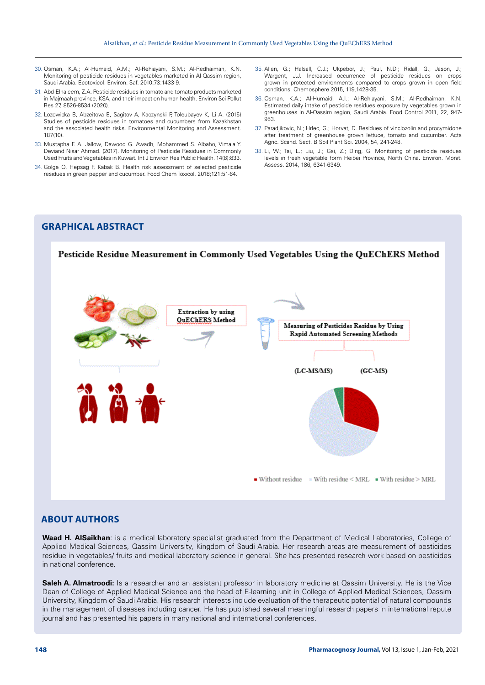- 30. Osman, K.A.; Al-Humaid, A.M.; Al-Rehiayani, S.M.; Al-Redhaiman, K.N. Monitoring of pesticide residues in vegetables marketed in Al-Qassim region, Saudi Arabia. Ecotoxicol. Environ. Saf. 2010;73:1433-9.
- 31. Abd-Elhaleem, Z.A. Pesticide residues in tomato and tomato products marketed in Majmaah province, KSA, and their impact on human health. Environ Sci Pollut Res 27, 8526-8534 (2020).
- 32. Lozowicka B, Abzeitova E, Sagitov A, Kaczynski P, Toleubayev K, Li A. (2015) Studies of pesticide residues in tomatoes and cucumbers from Kazakhstan and the associated health risks. Environmental Monitoring and Assessment. 187(10).
- 33. Mustapha F. A. Jallow, Dawood G. Awadh, Mohammed S. Albaho, Vimala Y. Deviand Nisar Ahmad. (2017). Monitoring of Pesticide Residues in Commonly Used Fruits and Vegetables in Kuwait. Int J Environ Res Public Health. 14(8):833.
- 34. Golge O, Hepsag F, Kabak B. Health risk assessment of selected pesticide residues in green pepper and cucumber. Food Chem Toxicol. 2018;121:51-64.
- 35. Allen, G.; Halsall, C.J.; Ukpebor, J.; Paul, N.D.; Ridall, G.; Jason, J.; Wargent, J.J. Increased occurrence of pesticide residues on crops grown in protected environments compared to crops grown in open field conditions. Chemosphere 2015, 119,1428-35.
- 36. Osman, K.A.; Al-Humaid, A.I.; Al-Rehiayani, S.M.; Al-Redhaiman, K.N. Estimated daily intake of pesticide residues exposure by vegetables grown in greenhouses in Al-Qassim region, Saudi Arabia. Food Control 2011, 22, 947- 953.
- 37. Paradjikovic, N.; Hrlec, G.; Horvat, D. Residues of vinclozolin and procymidone after treatment of greenhouse grown lettuce, tomato and cucumber. Acta Agric. Scand. Sect. B Soil Plant Sci. 2004, 54, 241-248.
- 38. Li, W.; Tai, L.; Liu, J.; Gai, Z.; Ding, G. Monitoring of pesticide residues levels in fresh vegetable form Heibei Province, North China. Environ. Monit. Assess. 2014, 186, 6341-6349.

# **GRAPHICAL ABSTRACT**



## **ABOUT AUTHORS**

**Waad H. AlSaikhan**: is a medical laboratory specialist graduated from the Department of Medical Laboratories, College of Applied Medical Sciences, Qassim University, Kingdom of Saudi Arabia. Her research areas are measurement of pesticides residue in vegetables/ fruits and medical laboratory science in general. She has presented research work based on pesticides in national conference.

**Saleh A. Almatroodi:** Is a researcher and an assistant professor in laboratory medicine at Qassim University. He is the Vice Dean of College of Applied Medical Science and the head of E-learning unit in College of Applied Medical Sciences, Qassim University, Kingdom of Saudi Arabia. His research interests include evaluation of the therapeutic potential of natural compounds in the management of diseases including cancer. He has published several meaningful research papers in international repute journal and has presented his papers in many national and international conferences.